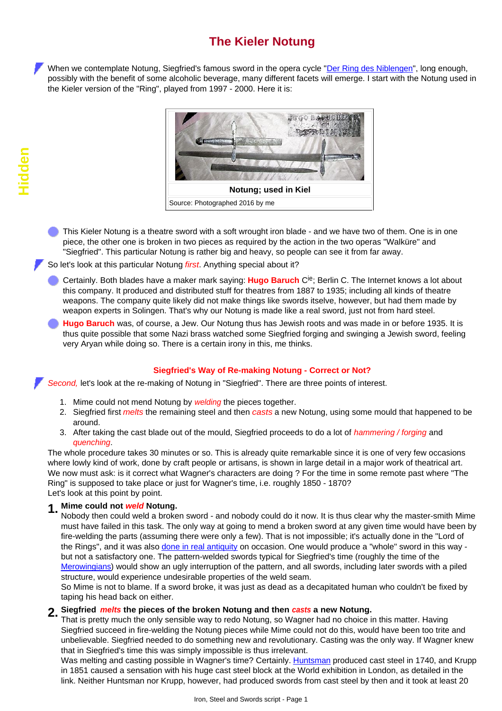# **The Kieler Notung**

When we contemplate Notung, Siegfried's famous sword in the opera cycle ["Der Ring des Niblengen](http://www.tf.uni-kiel.de/matwis/amat/iss_dec_15_2021/kap_2/illustr/i2_1_3.html)", long enough, possibly with the benefit of some alcoholic beverage, many different facets will emerge. I start with the Notung used in the Kieler version of the "Ring", played from 1997 - 2000. Here it is:



This Kieler Notung is a theatre sword with a soft wrought iron blade - and we have two of them. One is in one piece, the other one is broken in two pieces as required by the action in the two operas "Walküre" and "Siegfried". This particular Notung is rather big and heavy, so people can see it from far away.

So let's look at this particular Notung *first*. Anything special about it?

Certainly. Both blades have a maker mark saying: **Hugo Baruch** Cie; Berlin C. The Internet knows a lot about this company. It produced and distributed stuff for theatres from 1887 to 1935; including all kinds of theatre weapons. The company quite likely did not make things like swords itselve, however, but had them made by weapon experts in Solingen. That's why our Notung is made like a real sword, just not from hard steel.

**Hugo Baruch** was, of course, a Jew. Our Notung thus has Jewish roots and was made in or before 1935. It is thus quite possible that some Nazi brass watched some Siegfried forging and swinging a Jewish sword, feeling very Aryan while doing so. There is a certain irony in this, me thinks.

#### **Siegfried's Way of Re-making Notung - Correct or Not?**

*Second,* let's look at the re-making of Notung in "Siegfried". There are three points of interest.

- 1. Mime could not mend Notung by *welding* the pieces together.
- 2. Siegfried first *melts* the remaining steel and then *casts* a new Notung, using some mould that happened to be around.
- 3. After taking the cast blade out of the mould, Siegfried proceeds to do a lot of *hammering / forging* and *quenching*.

The whole procedure takes 30 minutes or so. This is already quite remarkable since it is one of very few occasions where lowly kind of work, done by craft people or artisans, is shown in large detail in a major work of theatrical art. We now must ask: is it correct what Wagner's characters are doing ? For the time in some remote past where "The Ring" is supposed to take place or just for Wagner's time, i.e. roughly 1850 - 1870? Let's look at this point by point.

#### **1. Mime could not** *weld* **Notung.**

Nobody then could weld a broken sword - and nobody could do it now. It is thus clear why the master-smith Mime must have failed in this task. The only way at going to mend a broken sword at any given time would have been by fire-welding the parts (assuming there were only a few). That is not impossible; it's actually done in the "Lord of the Rings", and it was also [done in real antiquity](http://www.tf.uni-kiel.de/matwis/amat/iss_dec_15_2021/kap_b/illustr/ib_3_3.html#_27) on occasion. One would produce a "whole" sword in this way but not a satisfactory one. The pattern-welded swords typical for Siegfried's time (roughly the time of the [Merowingians\)](http://www.tf.uni-kiel.de/matwis/amat/iss_dec_15_2021/kap_b/advanced/tb_4_2.html) would show an ugly interruption of the pattern, and all swords, including later swords with a piled structure, would experience undesirable properties of the weld seam.

So Mime is not to blame. If a sword broke, it was just as dead as a decapitated human who couldn't be fixed by taping his head back on either.

## **2. Siegfried** *melts* **the pieces of the broken Notung and then** *casts* **a new Notung.**

That is pretty much the only sensible way to redo Notung, so Wagner had no choice in this matter. Having Siegfried succeed in fire-welding the Notung pieces while Mime could not do this, would have been too trite and unbelievable. Siegfried needed to do something new and revolutionary. Casting was the only way. If Wagner knew that in Siegfried's time this was simply impossible is thus irrelevant.

Was melting and casting possible in Wagner's time? Certainly. [Huntsman](http://www.tf.uni-kiel.de/matwis/amat/iss_dec_15_2021/kap_a/backbone/ra_5_2.html#!huntsman) produced cast steel in 1740, and Krupp in 1851 caused a sensation with his huge cast steel block at the World exhibition in London, as detailed in the link. Neither Huntsman nor Krupp, however, had produced swords from cast steel by then and it took at least 20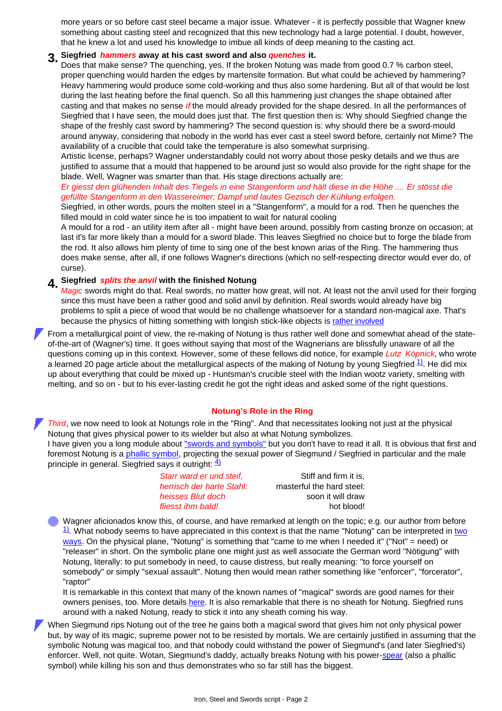more years or so before cast steel became a major issue. Whatever - it is perfectly possible that Wagner knew something about casting steel and recognized that this new technology had a large potential. I doubt, however, that he knew a lot and used his knowledge to imbue all kinds of deep meaning to the casting act.

# **3. Siegfried** *hammers* **away at his cast sword and also** *quenches* **it.**

Does that make sense? The quenching, yes. If the broken Notung was made from good 0.7 % carbon steel, proper quenching would harden the edges by martensite formation. But what could be achieved by hammering? Heavy hammering would produce some cold-working and thus also some hardening. But all of that would be lost during the last heating before the final quench. So all this hammering just changes the shape obtained after casting and that makes no sense *if* the mould already provided for the shape desired. In all the performances of Siegfried that I have seen, the mould does just that. The first question then is: Why should Siegfried change the shape of the freshly cast sword by hammering? The second question is: why should there be a sword-mould around anyway, considering that nobody in the world has ever cast a steel sword before, certainly not Mime? The availability of a crucible that could take the temperature is also somewhat surprising.

Artistic license, perhaps? Wagner understandably could not worry about those pesky details and we thus are justified to assume that a mould that happened to be around just so would also provide for the right shape for the blade. Well, Wagner was smarter than that. His stage directions actually are:

*Er giesst den glühenden Inhalt des Tiegels in eine Stangenform und hält diese in die Höhe .... Er stösst die gefüllte Stangenform in den Wassereimer; Dampf und lautes Gezisch der Kühlung erfolgen.*

Siegfried, in other words, pours the molten steel in a "Stangenform", a mould for a rod. Then he quenches the filled mould in cold water since he is too impatient to wait for natural cooling

A mould for a rod - an utility item after all - might have been around, possibly from casting bronze on occasion; at last it's far more likely than a mould for a sword blade. This leaves Siegfried no choice but to forge the blade from the rod. It also allows him plenty of time to sing one of the best known arias of the Ring. The hammering thus does make sense, after all, if one follows Wagner's directions (which no self-respecting director would ever do, of curse).

### **4. Siegfried** *splits the anvil* **with the finished Notung**

*Magic* swords might do that. Real swords, no matter how great, will not. At least not the anvil used for their forging since this must have been a rather good and solid anvil by definition. Real swords would already have big problems to split a piece of wood that would be no challenge whatsoever for a standard non-magical axe. That's because the physics of hitting something with longish stick-like objects is [rather involved](http://www.tf.uni-kiel.de/matwis/amat/iss_dec_15_2021/kap_c/backbone/rc_4_1.html)

From a metallurgical point of view, the re-making of Notung is thus rather well done and somewhat ahead of the stateof-the-art of (Wagner's) time. It goes without saying that most of the Wagnerians are blissfully unaware of all the questions coming up in this context. However, some of these fellows did notice, for example *Lutz Köpnick*, who wrote a learned 20 page article about the metallurgical aspects of the making of Notung by young Siegfried  $\frac{11}{1}$ . He did mix up about everything that could be mixed up - Huntsman's crucible steel with the Indian wootz variety, smelting with melting, and so on - but to his ever-lasting credit he got the right ideas and asked some of the right questions.

#### **Notung's Role in the Ring**

*Third*, we now need to look at Notungs role in the "Ring". And that necessitates looking not just at the physical Notung that gives physical power to its wielder but also at what Notung symbolizes.

I have given you a long module about ["swords and symbols"](http://www.tf.uni-kiel.de/matwis/amat/iss_dec_15_2021/kap_2/advanced/a2_1_1.html) but you don't have to read it all. It is obvious that first and foremost Notung is a [phallic symbol,](http://www.tf.uni-kiel.de/matwis/amat/iss_dec_15_2021/kap_2/advanced/a2_1_1.html#sword; phallic symbol) projecting the sexual power of Siegmund / Siegfried in particular and the male principle in general. Siegfried says it outright:  $\frac{41}{2}$ 

| Starr ward er und steif.  | Stiff and firm it is.     |
|---------------------------|---------------------------|
| herrisch der harte Stahl: | masterful the hard steel: |
| heisses Blut doch         | soon it will draw         |
| fliesst ihm bald!         | hot blood!                |
|                           |                           |

Wagner aficionados know this, of course, and have remarked at length on the topic; e.g. our author from before  $\frac{11}{2}$ . What nobody seems to have appreciated in this context is that the name "Notung" can be interpreted in [two](http://www.tf.uni-kiel.de/matwis/amat/iss_dec_15_2021/kap_2/illustr/i2_1_1.html#notung; sword name) [ways](http://www.tf.uni-kiel.de/matwis/amat/iss_dec_15_2021/kap_2/illustr/i2_1_1.html#notung; sword name). On the physical plane, "Notung" is something that "came to me when I needed it" ("Not" = need) or "releaser" in short. On the symbolic plane one might just as well associate the German word "Nötigung" with Notung, literally: to put somebody in need, to cause distress, but really meaning: "to force yourself on somebody" or simply "sexual assault". Notung then would mean rather something like "enforcer", "forcerator", "raptor"

It is remarkable in this context that many of the known names of "magical" swords are good names for their owners penises, too. More details [here.](http://www.tf.uni-kiel.de/matwis/amat/iss_dec_15_2021/kap_2/illustr/i2_1_1.html#_21) It is also remarkable that there is no sheath for Notung. Siegfried runs around with a naked Notung, ready to stick it into any sheath coming his way.

<span id="page-1-0"></span>When Siegmund rips Notung out of the tree he gains both a magical sword that gives him not only physical power but, by way of its magic, supreme power not to be resisted by mortals. We are certainly justified in assuming that the symbolic Notung was magical too, and that nobody could withstand the power of Siegmund's (and later Siegfried's) enforcer. Well, not quite. Wotan, Siegmund's daddy, actually breaks Notung with his power[-spear](http://www.tf.uni-kiel.de/matwis/amat/iss_dec_15_2021/kap_2/advanced/a2_1_1.html#sword; phallic symbol) (also a phallic symbol) while killing his son and thus demonstrates who so far still has the biggest.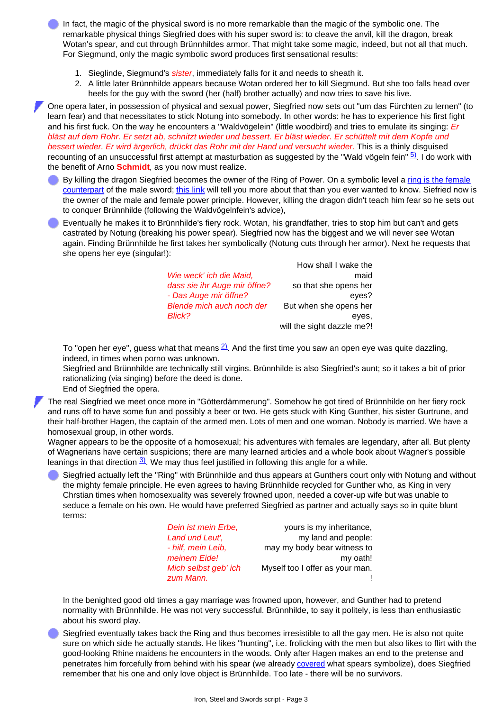In fact, the magic of the physical sword is no more remarkable than the magic of the symbolic one. The remarkable physical things Siegfried does with his super sword is: to cleave the anvil, kill the dragon, break Wotan's spear, and cut through Brünnhildes armor. That might take some magic, indeed, but not all that much. For Siegmund, only the magic symbolic sword produces first sensational results:

- 1. Sieglinde, Siegmund's *sister*, immediately falls for it and needs to sheath it.
- 2. A little later Brünnhilde appears because Wotan ordered her to kill Siegmund. But she too falls head over heels for the guy with the sword (her (half) brother actually) and now tries to save his live.

One opera later, in possession of physical and sexual power, Siegfried now sets out "um das Fürchten zu lernen" (to learn fear) and that necessitates to stick Notung into somebody. In other words: he has to experience his first fight and his first fuck. On the way he encounters a "Waldvögelein" (little woodbird) and tries to emulate its singing: *Er bläst auf dem Rohr. Er setzt ab, schnitzt wieder und bessert. Er bläst wieder. Er schüttelt mit dem Kopfe und bessert wieder. Er wird ärgerlich, drückt das Rohr mit der Hand und versucht wieder.* This is a thinly disguised recounting of an unsuccessful first attempt at masturbation as suggested by the "Wald vögeln fein"  $\frac{5}{2}$ . I do work with the benefit of Arno **Schmidt**, as you now must realize.

- By killing the dragon Siegfried becomes the owner of the Ring of Power. On a symbolic level a [ring is the female](http://www.tf.uni-kiel.de/matwis/amat/iss_dec_15_2021/kap_2/advanced/a2_1_1.html#ring; vaginal symbol) [counterpart](http://www.tf.uni-kiel.de/matwis/amat/iss_dec_15_2021/kap_2/advanced/a2_1_1.html#ring; vaginal symbol) of the male sword; [this link](http://www.tf.uni-kiel.de/matwis/amat/iss_dec_15_2021/kap_2/articles/tlotr_lol.pdf) will tell you more about that than you ever wanted to know. Siefried now is the owner of the male and female power principle. However, killing the dragon didn't teach him fear so he sets out to conquer Brünnhilde (following the Waldvögelnfein's advice),
- Eventually he makes it to Brünnhilde's fiery rock. Wotan, his grandfather, tries to stop him but can't and gets castrated by Notung (breaking his power spear). Siegfried now has the biggest and we will never see Wotan again. Finding Brünnhilde he first takes her symbolically (Notung cuts through her armor). Next he requests that she opens her eye (singular!):

|                              | How shall I wake the       |
|------------------------------|----------------------------|
| Wie weck' ich die Maid,      | maid                       |
| dass sie ihr Auge mir öffne? | so that she opens her      |
| - Das Auge mir öffne?        | eves?                      |
| Blende mich auch noch der    | But when she opens her     |
| Blick?                       | eyes.                      |
|                              | will the sight dazzle me?! |

To "open her eye", guess what that means  $2$ . And the first time you saw an open eye was quite dazzling, indeed, in times when porno was unknown.

Siegfried and Brünnhilde are technically still virgins. Brünnhilde is also Siegfried's aunt; so it takes a bit of prior rationalizing (via singing) before the deed is done.

End of Siegfried the opera.

The real Siegfried we meet once more in "Götterdämmerung". Somehow he got tired of Brünnhilde on her fiery rock and runs off to have some fun and possibly a beer or two. He gets stuck with King Gunther, his sister Gurtrune, and their half-brother Hagen, the captain of the armed men. Lots of men and one woman. Nobody is married. We have a homosexual group, in other words.

Wagner appears to be the opposite of a homosexual; his adventures with females are legendary, after all. But plenty of Wagnerians have certain suspicions; there are many learned articles and a whole book about Wagner's possible leanings in that direction  $3/3$ . We may thus feel justified in following this angle for a while.

Siegfried actually left the "Ring" with Brünnhilde and thus appears at Gunthers court only with Notung and without the mighty female principle. He even agrees to having Brünnhilde recycled for Gunther who, as King in very Chrstian times when homosexuality was severely frowned upon, needed a cover-up wife but was unable to seduce a female on his own. He would have preferred Siegfried as partner and actually says so in quite blunt terms:

| yours is my inheritance,        |
|---------------------------------|
| my land and people:             |
| may my body bear witness to     |
| my oath!                        |
| Myself too I offer as your man. |
|                                 |
|                                 |

In the benighted good old times a gay marriage was frowned upon, however, and Gunther had to pretend normality with Brünnhilde. He was not very successful. Brünnhilde, to say it politely, is less than enthusiastic about his sword play.

Siegfried eventually takes back the Ring and thus becomes irresistible to all the gay men. He is also not quite sure on which side he actually stands. He likes "hunting", i.e. frolicking with the men but also likes to flirt with the good-looking Rhine maidens he encounters in the woods. Only after Hagen makes an end to the pretense and penetrates him forcefully from behind with his spear (we already [covered](#page-1-0) what spears symbolize), does Siegfried remember that his one and only love object is Brünnhilde. Too late - there will be no survivors.